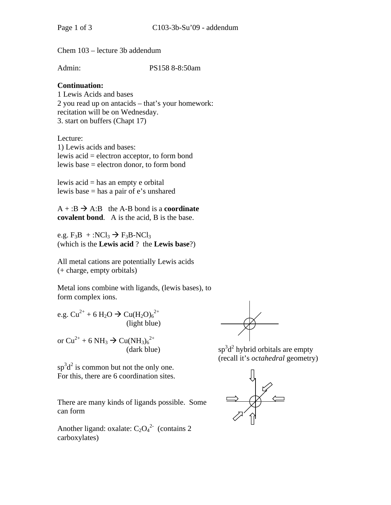Chem 103 – lecture 3b addendum

Admin: PS158 8-8:50am

# **Continuation:**

1 Lewis Acids and bases 2 you read up on antacids – that's your homework: recitation will be on Wednesday. 3. start on buffers (Chapt 17)

Lecture: 1) Lewis acids and bases: lewis acid = electron acceptor, to form bond lewis base = electron donor, to form bond

lewis acid = has an empty e orbital lewis base = has a pair of e's unshared

 $A + B \rightarrow A:B$  the A-B bond is a **coordinate covalent bond**. A is the acid, B is the base.

e.g.  $F_3B + :NCl_3 \rightarrow F_3B-NCl_3$ (which is the **Lewis acid** ? the **Lewis base**?)

All metal cations are potentially Lewis acids (+ charge, empty orbitals)

Metal ions combine with ligands, (lewis bases), to form complex ions.

e.g.  $Cu^{2+} + 6 H_2O \rightarrow Cu(H_2O)_6^{2+}$ (light blue)

or  $Cu^{2+} + 6 NH_3 \rightarrow Cu(NH_3)_6^{2+}$  $(dark blue)$ 

 $\text{sp}^3 \text{d}^2$  is common but not the only one. For this, there are 6 coordination sites.

There are many kinds of ligands possible. Some can form

Another ligand: oxalate:  $C_2O_4^2$  (contains 2) carboxylates)

 $d^2$  hybrid orbitals are empty (recall it's *octahedral* geometry)

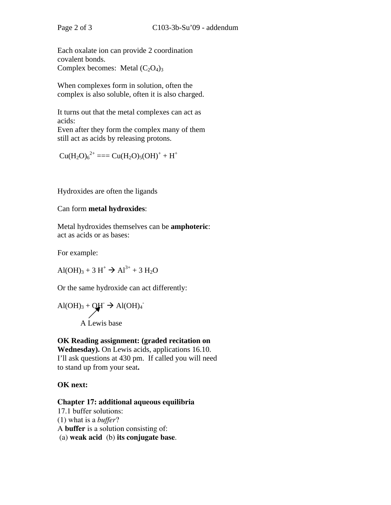Each oxalate ion can provide 2 coordination covalent bonds. Complex becomes: Metal  $(C_2O_4)_3$ 

When complexes form in solution, often the complex is also soluble, often it is also charged.

It turns out that the metal complexes can act as acids:

Even after they form the complex many of them still act as acids by releasing protons.

$$
Cu(H_2O)_6^{2+} == Cu(H_2O)_5(OH)^+ + H^+
$$

Hydroxides are often the ligands

### Can form **metal hydroxides**:

Metal hydroxides themselves can be **amphoteric**: act as acids or as bases:

For example:

$$
Al(OH)3 + 3 H+ \rightarrow Al3+ + 3 H2O
$$

Or the same hydroxide can act differently:

$$
Al(OH)3 + OH- \rightarrow Al(OH)4
$$
  
A Lewis base

### **OK Reading assignment: (graded recitation on Wednesday).** On Lewis acids, applications 16.10. I'll ask questions at 430 pm. If called you will need to stand up from your seat**.**

## **OK next:**

#### **Chapter 17: additional aqueous equilibria**

17.1 buffer solutions: (1) what is a *buffer*? A **buffer** is a solution consisting of: (a) **weak acid** (b) **its conjugate base**.